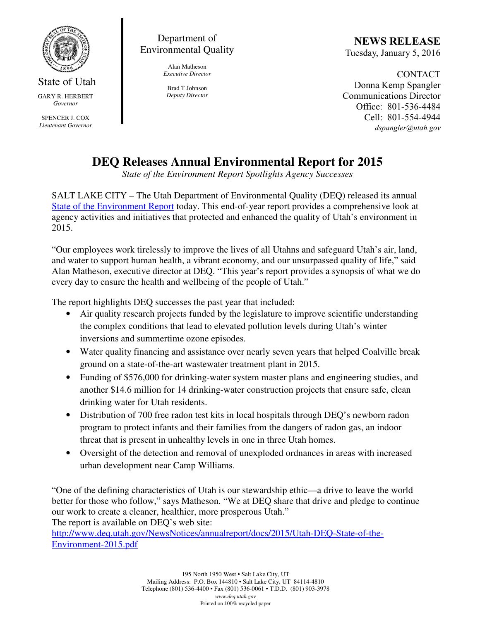

State of Utah GARY R. HERBERT *Governor* 

SPENCER J. COX *Lieutenant Governor* 

Department of Environmental Quality

> Alan Matheson *Executive Director*

Brad T Johnson *Deputy Director* 

NEWS RELEASE Tuesday, January 5, 2016

CONTACT Donna Kemp Spangler Communications Director Office: 801-536-4484 Cell: 801-554-4944 dspangler@utah.gov

## **DEQ Releases Annual Environmental Report for 2015**

*State of the Environment Report Spotlights Agency Successes* 

SALT LAKE CITY – The Utah Department of Environmental Quality (DEQ) released its annual State of the Environment Report today. This end-of-year report provides a comprehensive look at agency activities and initiatives that protected and enhanced the quality of Utah's environment in 2015.

"Our employees work tirelessly to improve the lives of all Utahns and safeguard Utah's air, land, and water to support human health, a vibrant economy, and our unsurpassed quality of life," said Alan Matheson, executive director at DEQ. "This year's report provides a synopsis of what we do every day to ensure the health and wellbeing of the people of Utah."

The report highlights DEQ successes the past year that included:

- Air quality research projects funded by the legislature to improve scientific understanding the complex conditions that lead to elevated pollution levels during Utah's winter inversions and summertime ozone episodes.
- Water quality financing and assistance over nearly seven years that helped Coalville break ground on a state-of-the-art wastewater treatment plant in 2015.
- Funding of \$576,000 for drinking-water system master plans and engineering studies, and another \$14.6 million for 14 drinking-water construction projects that ensure safe, clean drinking water for Utah residents.
- Distribution of 700 free radon test kits in local hospitals through DEQ's newborn radon program to protect infants and their families from the dangers of radon gas, an indoor threat that is present in unhealthy levels in one in three Utah homes.
- Oversight of the detection and removal of unexploded ordnances in areas with increased urban development near Camp Williams.

"One of the defining characteristics of Utah is our stewardship ethic—a drive to leave the world better for those who follow," says Matheson. "We at DEQ share that drive and pledge to continue our work to create a cleaner, healthier, more prosperous Utah."

The report is available on DEQ's web site:

http://www.deq.utah.gov/NewsNotices/annualreport/docs/2015/Utah-DEQ-State-of-the-Environment-2015.pdf